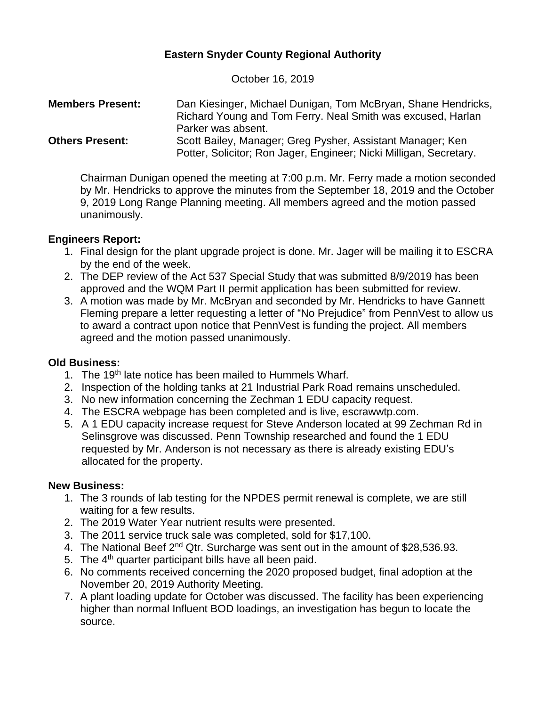# **Eastern Snyder County Regional Authority**

October 16, 2019

| <b>Members Present:</b> | Dan Kiesinger, Michael Dunigan, Tom McBryan, Shane Hendricks,      |
|-------------------------|--------------------------------------------------------------------|
|                         | Richard Young and Tom Ferry. Neal Smith was excused, Harlan        |
|                         | Parker was absent.                                                 |
| <b>Others Present:</b>  | Scott Bailey, Manager; Greg Pysher, Assistant Manager; Ken         |
|                         | Potter, Solicitor; Ron Jager, Engineer; Nicki Milligan, Secretary. |

Chairman Dunigan opened the meeting at 7:00 p.m. Mr. Ferry made a motion seconded by Mr. Hendricks to approve the minutes from the September 18, 2019 and the October 9, 2019 Long Range Planning meeting. All members agreed and the motion passed unanimously.

### **Engineers Report:**

- 1. Final design for the plant upgrade project is done. Mr. Jager will be mailing it to ESCRA by the end of the week.
- 2. The DEP review of the Act 537 Special Study that was submitted 8/9/2019 has been approved and the WQM Part II permit application has been submitted for review.
- 3. A motion was made by Mr. McBryan and seconded by Mr. Hendricks to have Gannett Fleming prepare a letter requesting a letter of "No Prejudice" from PennVest to allow us to award a contract upon notice that PennVest is funding the project. All members agreed and the motion passed unanimously.

## **Old Business:**

- 1. The 19<sup>th</sup> late notice has been mailed to Hummels Wharf.
- 2. Inspection of the holding tanks at 21 Industrial Park Road remains unscheduled.
- 3. No new information concerning the Zechman 1 EDU capacity request.
- 4. The ESCRA webpage has been completed and is live, escrawwtp.com.
- 5. A 1 EDU capacity increase request for Steve Anderson located at 99 Zechman Rd in Selinsgrove was discussed. Penn Township researched and found the 1 EDU requested by Mr. Anderson is not necessary as there is already existing EDU's allocated for the property.

### **New Business:**

- 1. The 3 rounds of lab testing for the NPDES permit renewal is complete, we are still waiting for a few results.
- 2. The 2019 Water Year nutrient results were presented.
- 3. The 2011 service truck sale was completed, sold for \$17,100.
- 4. The National Beef 2<sup>nd</sup> Qtr. Surcharge was sent out in the amount of \$28,536.93.
- 5. The 4<sup>th</sup> quarter participant bills have all been paid.
- 6. No comments received concerning the 2020 proposed budget, final adoption at the November 20, 2019 Authority Meeting.
- 7. A plant loading update for October was discussed. The facility has been experiencing higher than normal Influent BOD loadings, an investigation has begun to locate the source.